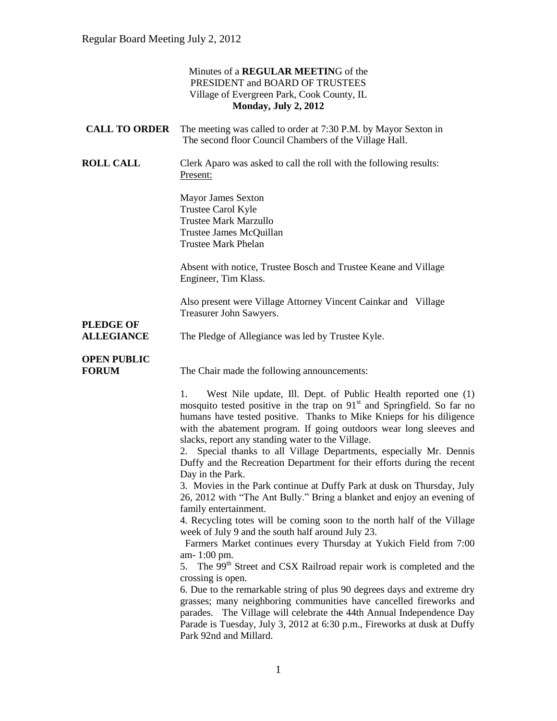|                                    | Minutes of a REGULAR MEETING of the<br>PRESIDENT and BOARD OF TRUSTEES<br>Village of Evergreen Park, Cook County, IL<br>Monday, July 2, 2012                                                                                                                                                                                                                    |
|------------------------------------|-----------------------------------------------------------------------------------------------------------------------------------------------------------------------------------------------------------------------------------------------------------------------------------------------------------------------------------------------------------------|
| <b>CALL TO ORDER</b>               | The meeting was called to order at 7:30 P.M. by Mayor Sexton in<br>The second floor Council Chambers of the Village Hall.                                                                                                                                                                                                                                       |
| <b>ROLL CALL</b>                   | Clerk Aparo was asked to call the roll with the following results:<br>Present:                                                                                                                                                                                                                                                                                  |
|                                    | <b>Mayor James Sexton</b><br>Trustee Carol Kyle<br><b>Trustee Mark Marzullo</b><br>Trustee James McQuillan<br><b>Trustee Mark Phelan</b>                                                                                                                                                                                                                        |
|                                    | Absent with notice, Trustee Bosch and Trustee Keane and Village<br>Engineer, Tim Klass.                                                                                                                                                                                                                                                                         |
| <b>PLEDGE OF</b>                   | Also present were Village Attorney Vincent Cainkar and Village<br>Treasurer John Sawyers.                                                                                                                                                                                                                                                                       |
| <b>ALLEGIANCE</b>                  | The Pledge of Allegiance was led by Trustee Kyle.                                                                                                                                                                                                                                                                                                               |
| <b>OPEN PUBLIC</b><br><b>FORUM</b> | The Chair made the following announcements:                                                                                                                                                                                                                                                                                                                     |
|                                    | West Nile update, Ill. Dept. of Public Health reported one (1)<br>1.<br>mosquito tested positive in the trap on 91 <sup>st</sup> and Springfield. So far no<br>humans have tested positive. Thanks to Mike Knieps for his diligence<br>with the abatement program. If going outdoors wear long sleeves and<br>slacks, report any standing water to the Village. |
|                                    | 2. Special thanks to all Village Departments, especially Mr. Dennis<br>Duffy and the Recreation Department for their efforts during the recent<br>Day in the Park.                                                                                                                                                                                              |
|                                    | 3. Movies in the Park continue at Duffy Park at dusk on Thursday, July<br>26, 2012 with "The Ant Bully." Bring a blanket and enjoy an evening of<br>family entertainment.                                                                                                                                                                                       |
|                                    | 4. Recycling totes will be coming soon to the north half of the Village<br>week of July 9 and the south half around July 23.                                                                                                                                                                                                                                    |
|                                    | Farmers Market continues every Thursday at Yukich Field from 7:00<br>am-1:00 pm.<br>5. The 99 <sup>th</sup> Street and CSX Railroad repair work is completed and the                                                                                                                                                                                            |
|                                    | crossing is open.                                                                                                                                                                                                                                                                                                                                               |
|                                    | 6. Due to the remarkable string of plus 90 degrees days and extreme dry<br>grasses; many neighboring communities have cancelled fireworks and<br>parades. The Village will celebrate the 44th Annual Independence Day<br>Parade is Tuesday, July 3, 2012 at 6:30 p.m., Fireworks at dusk at Duffy<br>Park 92nd and Millard.                                     |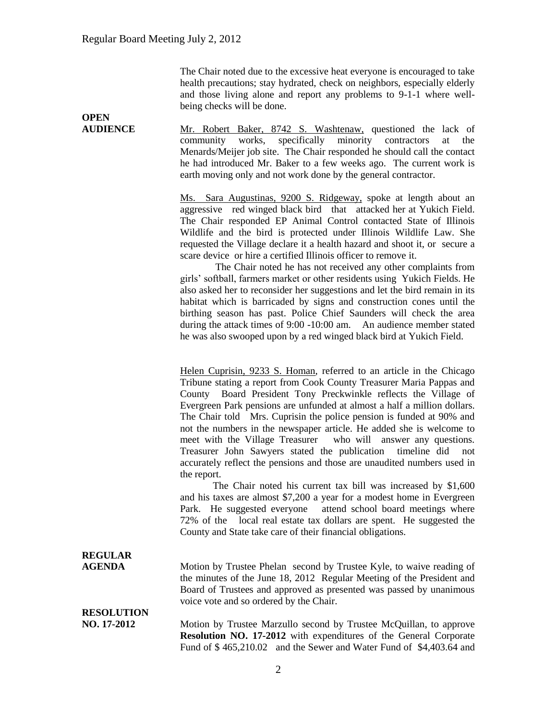**OPEN** 

The Chair noted due to the excessive heat everyone is encouraged to take health precautions; stay hydrated, check on neighbors, especially elderly and those living alone and report any problems to 9-1-1 where wellbeing checks will be done.

**AUDIENCE** Mr. Robert Baker, 8742 S. Washtenaw, questioned the lack of community works, specifically minority contractors at the Menards/Meijer job site. The Chair responded he should call the contact he had introduced Mr. Baker to a few weeks ago. The current work is earth moving only and not work done by the general contractor.

> Ms. Sara Augustinas, 9200 S. Ridgeway, spoke at length about an aggressive red winged black bird that attacked her at Yukich Field. The Chair responded EP Animal Control contacted State of Illinois Wildlife and the bird is protected under Illinois Wildlife Law. She requested the Village declare it a health hazard and shoot it, or secure a scare device or hire a certified Illinois officer to remove it.

> The Chair noted he has not received any other complaints from girls' softball, farmers market or other residents using Yukich Fields. He also asked her to reconsider her suggestions and let the bird remain in its habitat which is barricaded by signs and construction cones until the birthing season has past. Police Chief Saunders will check the area during the attack times of 9:00 -10:00 am. An audience member stated he was also swooped upon by a red winged black bird at Yukich Field.

> Helen Cuprisin, 9233 S. Homan, referred to an article in the Chicago Tribune stating a report from Cook County Treasurer Maria Pappas and County Board President Tony Preckwinkle reflects the Village of Evergreen Park pensions are unfunded at almost a half a million dollars. The Chair told Mrs. Cuprisin the police pension is funded at 90% and not the numbers in the newspaper article. He added she is welcome to meet with the Village Treasurer who will answer any questions. Treasurer John Sawyers stated the publication timeline did not accurately reflect the pensions and those are unaudited numbers used in the report.

> The Chair noted his current tax bill was increased by \$1,600 and his taxes are almost \$7,200 a year for a modest home in Evergreen Park. He suggested everyone attend school board meetings where 72% of the local real estate tax dollars are spent. He suggested the County and State take care of their financial obligations.

**REGULAR** 

**AGENDA** Motion by Trustee Phelan second by Trustee Kyle, to waive reading of the minutes of the June 18, 2012 Regular Meeting of the President and Board of Trustees and approved as presented was passed by unanimous voice vote and so ordered by the Chair.

**RESOLUTION** 

**NO. 17-2012** Motion by Trustee Marzullo second by Trustee McQuillan, to approve **Resolution NO. 17-2012** with expenditures of the General Corporate Fund of \$ 465,210.02 and the Sewer and Water Fund of \$4,403.64 and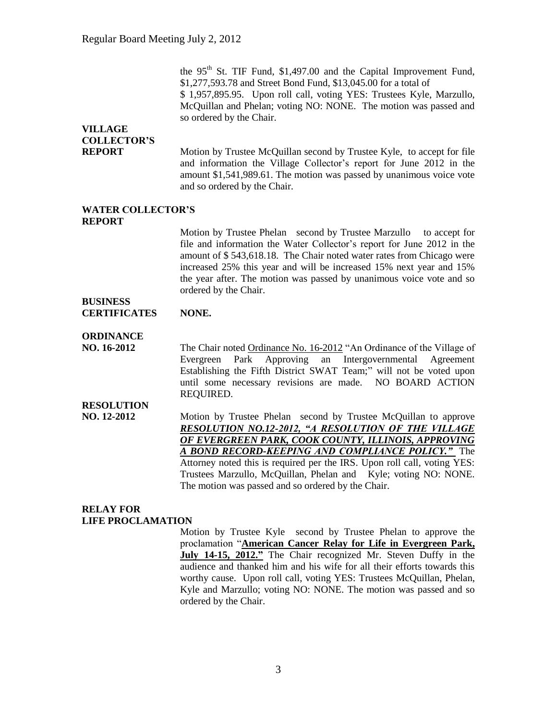the  $95<sup>th</sup>$  St. TIF Fund, \$1,497.00 and the Capital Improvement Fund, \$1,277,593.78 and Street Bond Fund, \$13,045.00 for a total of \$ 1,957,895.95. Upon roll call, voting YES: Trustees Kyle, Marzullo, McQuillan and Phelan; voting NO: NONE. The motion was passed and so ordered by the Chair.

# **VILLAGE COLLECTOR'S**

**REPORT** Motion by Trustee McQuillan second by Trustee Kyle, to accept for file and information the Village Collector's report for June 2012 in the amount \$1,541,989.61. The motion was passed by unanimous voice vote and so ordered by the Chair.

#### **WATER COLLECTOR'S REPORT**

Motion by Trustee Phelan second by Trustee Marzullo to accept for file and information the Water Collector's report for June 2012 in the amount of \$ 543,618.18. The Chair noted water rates from Chicago were increased 25% this year and will be increased 15% next year and 15% the year after. The motion was passed by unanimous voice vote and so ordered by the Chair.

### **BUSINESS CERTIFICATES NONE.**

## **ORDINANCE**

**NO. 16-2012** The Chair noted Ordinance No. 16-2012 "An Ordinance of the Village of Evergreen Park Approving an Intergovernmental Agreement Establishing the Fifth District SWAT Team;" will not be voted upon until some necessary revisions are made. NO BOARD ACTION REQUIRED.

**RESOLUTION**

**NO. 12-2012** Motion by Trustee Phelan second by Trustee McQuillan to approve *RESOLUTION NO.12-2012, "A RESOLUTION OF THE VILLAGE OF EVERGREEN PARK, COOK COUNTY, ILLINOIS, APPROVING A BOND RECORD-KEEPING AND COMPLIANCE POLICY."* The Attorney noted this is required per the IRS. Upon roll call, voting YES: Trustees Marzullo, McQuillan, Phelan and Kyle; voting NO: NONE. The motion was passed and so ordered by the Chair.

## **RELAY FOR LIFE PROCLAMATION**

Motion by Trustee Kyle second by Trustee Phelan to approve the proclamation "**American Cancer Relay for Life in Evergreen Park, July 14-15, 2012."** The Chair recognized Mr. Steven Duffy in the audience and thanked him and his wife for all their efforts towards this worthy cause. Upon roll call, voting YES: Trustees McQuillan, Phelan, Kyle and Marzullo; voting NO: NONE. The motion was passed and so ordered by the Chair.